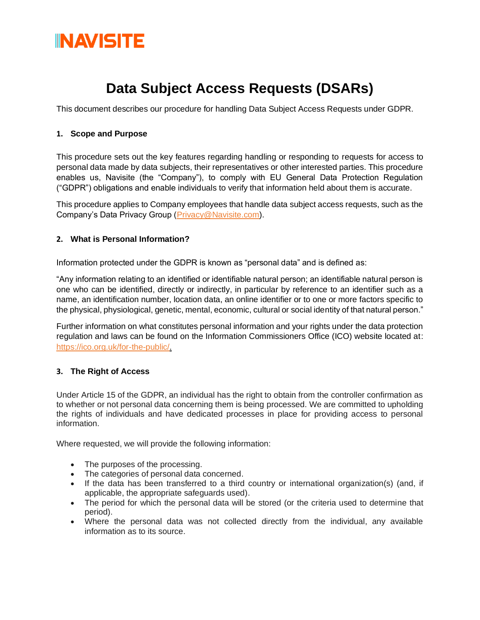

### **Data Subject Access Requests (DSARs)**

This document describes our procedure for handling Data Subject Access Requests under GDPR.

#### **1. Scope and Purpose**

This procedure sets out the key features regarding handling or responding to requests for access to personal data made by data subjects, their representatives or other interested parties. This procedure enables us, Navisite (the "Company"), to comply with EU General Data Protection Regulation ("GDPR") obligations and enable individuals to verify that information held about them is accurate.

This procedure applies to Company employees that handle data subject access requests, such as the Company's Data Privacy Group [\(Privacy@Navisite.com\)](mailto:Privacy@Navisite.com).

#### **2. What is Personal Information?**

Information protected under the GDPR is known as "personal data" and is defined as:

"Any information relating to an identified or identifiable natural person; an identifiable natural person is one who can be identified, directly or indirectly, in particular by reference to an identifier such as a name, an identification number, location data, an online identifier or to one or more factors specific to the physical, physiological, genetic, mental, economic, cultural or social identity of that natural person."

Further information on what constitutes personal information and your rights under the data protection regulation and laws can be found on the Information Commissioners Office (ICO) website located at: [https://ico.org.uk/for-the-public/.](https://ico.org.uk/for-the-public/)

#### **3. The Right of Access**

Under Article 15 of the GDPR, an individual has the right to obtain from the controller confirmation as to whether or not personal data concerning them is being processed. We are committed to upholding the rights of individuals and have dedicated processes in place for providing access to personal information.

Where requested, we will provide the following information:

- The purposes of the processing.
- The categories of personal data concerned.
- If the data has been transferred to a third country or international organization(s) (and, if applicable, the appropriate safeguards used).
- The period for which the personal data will be stored (or the criteria used to determine that period).
- Where the personal data was not collected directly from the individual, any available information as to its source.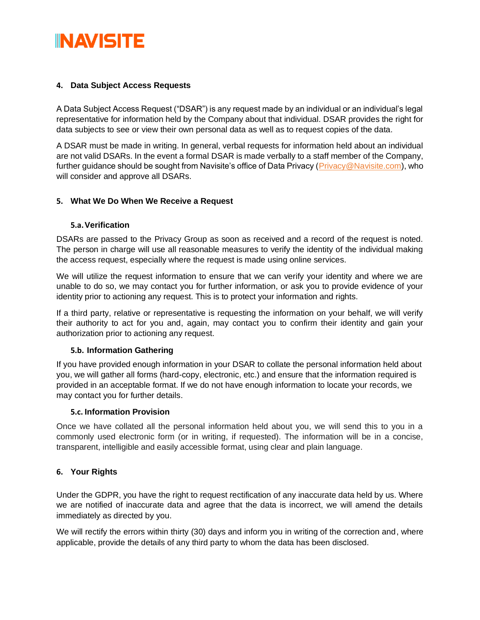## **INAVISITE**

#### **4. Data Subject Access Requests**

A Data Subject Access Request ("DSAR") is any request made by an individual or an individual's legal representative for information held by the Company about that individual. DSAR provides the right for data subjects to see or view their own personal data as well as to request copies of the data.

A DSAR must be made in writing. In general, verbal requests for information held about an individual are not valid DSARs. In the event a formal DSAR is made verbally to a staff member of the Company, further guidance should be sought from Navisite's office of Data Privacy (Privacy @Navisite.com), who will consider and approve all DSARs.

#### **5. What We Do When We Receive a Request**

#### **5.a.Verification**

DSARs are passed to the Privacy Group as soon as received and a record of the request is noted. The person in charge will use all reasonable measures to verify the identity of the individual making the access request, especially where the request is made using online services.

We will utilize the request information to ensure that we can verify your identity and where we are unable to do so, we may contact you for further information, or ask you to provide evidence of your identity prior to actioning any request. This is to protect your information and rights.

If a third party, relative or representative is requesting the information on your behalf, we will verify their authority to act for you and, again, may contact you to confirm their identity and gain your authorization prior to actioning any request.

#### **5.b. Information Gathering**

If you have provided enough information in your DSAR to collate the personal information held about you, we will gather all forms (hard-copy, electronic, etc.) and ensure that the information required is provided in an acceptable format. If we do not have enough information to locate your records, we may contact you for further details.

#### **5.c. Information Provision**

Once we have collated all the personal information held about you, we will send this to you in a commonly used electronic form (or in writing, if requested). The information will be in a concise, transparent, intelligible and easily accessible format, using clear and plain language.

#### **6. Your Rights**

Under the GDPR, you have the right to request rectification of any inaccurate data held by us. Where we are notified of inaccurate data and agree that the data is incorrect, we will amend the details immediately as directed by you.

We will rectify the errors within thirty (30) days and inform you in writing of the correction and, where applicable, provide the details of any third party to whom the data has been disclosed.